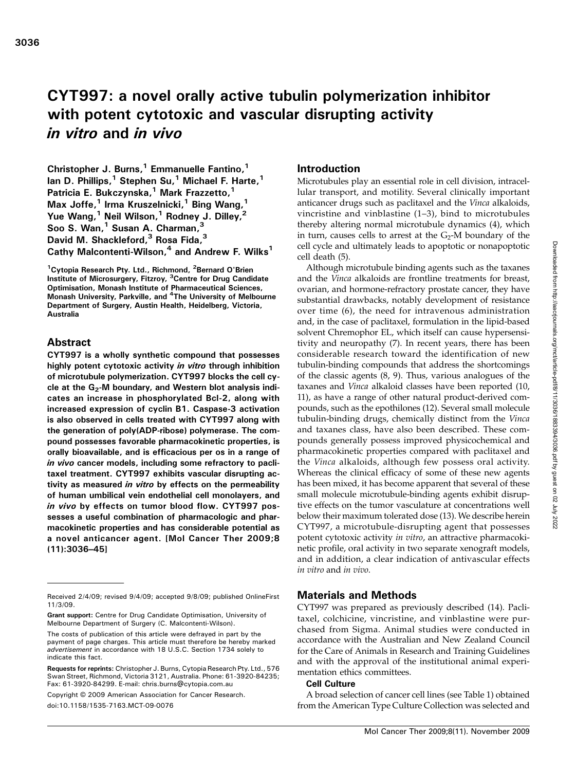# CYT997: a novel orally active tubulin polymerization inhibitor with potent cytotoxic and vascular disrupting activity in vitro and in vivo

Christopher J. Burns, $1$  Emmanuelle Fantino, $1$ Ian D. Phillips, $1$  Stephen Su, $1$  Michael F. Harte, $1$ Patricia E. Bukczynska,<sup>1</sup> Mark Frazzetto,<sup>1</sup> Max Joffe, $^1$  Irma Kruszelnicki, $^1$  Bing Wang, $^1$ Yue Wang,<sup>1</sup> Neil Wilson,<sup>1</sup> Rodney J. Dilley,<sup>2</sup> Soo S. Wan, $<sup>1</sup>$  Susan A. Charman, $<sup>3</sup>$ </sup></sup> David M. Shackleford,<sup>3</sup> Rosa Fida,<sup>3</sup> Cathy Malcontenti-Wilson, $4$  and Andrew F. Wilks<sup>1</sup>

<sup>1</sup> Cytopia Research Pty. Ltd., Richmond, <sup>2</sup> Bernard O'Brien Institute of Microsurgery, Fitzroy, <sup>3</sup>Centre for Drug Candidate Optimisation, Monash Institute of Pharmaceutical Sciences, Monash University, Parkville, and <sup>4</sup>The University of Melbourne Department of Surgery, Austin Health, Heidelberg, Victoria, Australia

# Abstract

CYT997 is a wholly synthetic compound that possesses highly potent cytotoxic activity in vitro through inhibition of microtubule polymerization. CYT997 blocks the cell cycle at the  $G_2$ -M boundary, and Western blot analysis indicates an increase in phosphorylated Bcl-2, along with increased expression of cyclin B1. Caspase-3 activation is also observed in cells treated with CYT997 along with the generation of poly(ADP-ribose) polymerase. The compound possesses favorable pharmacokinetic properties, is orally bioavailable, and is efficacious per os in a range of in vivo cancer models, including some refractory to paclitaxel treatment. CYT997 exhibits vascular disrupting activity as measured in vitro by effects on the permeability of human umbilical vein endothelial cell monolayers, and in vivo by effects on tumor blood flow. CYT997 possesses a useful combination of pharmacologic and pharmacokinetic properties and has considerable potential as a novel anticancer agent. [Mol Cancer Ther 2009;8 (11):3036–45]

Copyright © 2009 American Association for Cancer Research.

doi:10.1158/1535-7163.MCT-09-0076

# Introduction

Microtubules play an essential role in cell division, intracellular transport, and motility. Several clinically important anticancer drugs such as paclitaxel and the Vinca alkaloids, vincristine and vinblastine (1–3), bind to microtubules thereby altering normal microtubule dynamics (4), which in turn, causes cells to arrest at the  $G_2$ -M boundary of the cell cycle and ultimately leads to apoptotic or nonapoptotic cell death (5).

Although microtubule binding agents such as the taxanes and the Vinca alkaloids are frontline treatments for breast, ovarian, and hormone-refractory prostate cancer, they have substantial drawbacks, notably development of resistance over time (6), the need for intravenous administration and, in the case of paclitaxel, formulation in the lipid-based solvent Chremophor EL, which itself can cause hypersensitivity and neuropathy (7). In recent years, there has been considerable research toward the identification of new tubulin-binding compounds that address the shortcomings of the classic agents (8, 9). Thus, various analogues of the taxanes and Vinca alkaloid classes have been reported (10, 11), as have a range of other natural product-derived compounds, such as the epothilones (12). Several small molecule tubulin-binding drugs, chemically distinct from the Vinca and taxanes class, have also been described. These compounds generally possess improved physicochemical and pharmacokinetic properties compared with paclitaxel and the *Vinca* alkaloids, although few possess oral activity. Whereas the clinical efficacy of some of these new agents has been mixed, it has become apparent that several of these small molecule microtubule-binding agents exhibit disruptive effects on the tumor vasculature at concentrations well below their maximum tolerated dose (13). We describe herein CYT997, a microtubule-disrupting agent that possesses potent cytotoxic activity in vitro, an attractive pharmacokinetic profile, oral activity in two separate xenograft models, and in addition, a clear indication of antivascular effects in vitro and in vivo.

# Materials and Methods

CYT997 was prepared as previously described (14). Paclitaxel, colchicine, vincristine, and vinblastine were purchased from Sigma. Animal studies were conducted in accordance with the Australian and New Zealand Council for the Care of Animals in Research and Training Guidelines and with the approval of the institutional animal experimentation ethics committees.

### Cell Culture

A broad selection of cancer cell lines (see Table 1) obtained from the American Type Culture Collection was selected and

Received 2/4/09; revised 9/4/09; accepted 9/8/09; published OnlineFirst 11/3/09.

Grant support: Centre for Drug Candidate Optimisation, University of Melbourne Department of Surgery (C. Malcontenti-Wilson).

The costs of publication of this article were defrayed in part by the payment of page charges. This article must therefore be hereby marked advertisement in accordance with 18 U.S.C. Section 1734 solely to indicate this fact.

Requests for reprints: Christopher J. Burns, Cytopia Research Pty. Ltd., 576 Swan Street, Richmond, Victoria 3121, Australia. Phone: 61-3920-84235; Fax: 61-3920-84299. E-mail: chris.burns@cytopia.com.au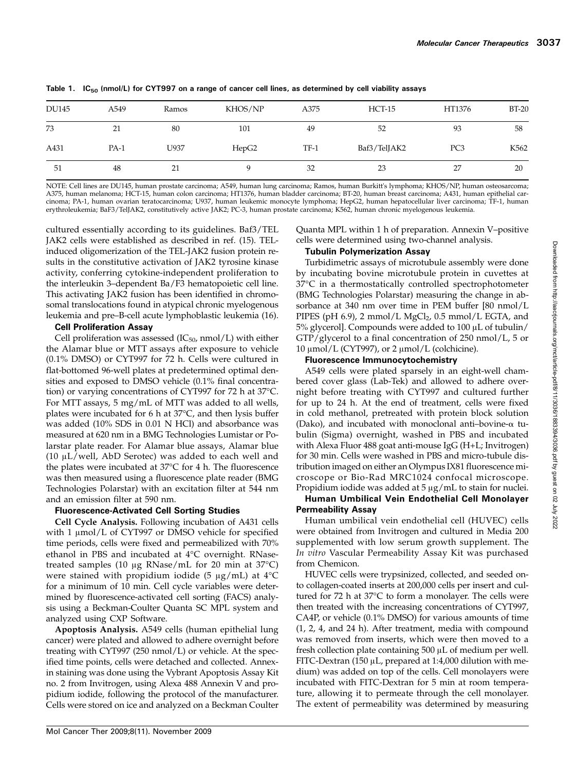| DU145 | A549   | Ramos | KHOS/NP | A375   | $HCT-15$     | HT1376          | <b>BT-20</b> |
|-------|--------|-------|---------|--------|--------------|-----------------|--------------|
| 73    | 21     | 80    | 101     | 49     | 52           | 93              | 58           |
| A431  | $PA-1$ | U937  | HepG2   | $TF-1$ | Baf3/TelJAK2 | PC <sub>3</sub> | K562         |
| 51    | 48     | 21    |         | 32     | 23           | 27              | 20           |

Table 1.  $IC_{50}$  (nmol/L) for CYT997 on a range of cancer cell lines, as determined by cell viability assays

NOTE: Cell lines are DU145, human prostate carcinoma; A549, human lung carcinoma; Ramos, human Burkitt's lymphoma; KHOS/NP, human osteosarcoma; A375, human melanoma; HCT-15, human colon carcinoma; HT1376, human bladder carcinoma; BT-20, human breast carcinoma; A431, human epithelial carcinoma; PA-1, human ovarian teratocarcinoma; U937, human leukemic monocyte lymphoma; HepG2, human hepatocellular liver carcinoma; TF-1, human erythroleukemia; BaF3/TelJAK2, constitutively active JAK2; PC-3, human prostate carcinoma; K562, human chronic myelogenous leukemia.

cultured essentially according to its guidelines. Baf3/TEL JAK2 cells were established as described in ref. (15). TELinduced oligomerization of the TEL-JAK2 fusion protein results in the constitutive activation of JAK2 tyrosine kinase activity, conferring cytokine-independent proliferation to the interleukin 3–dependent Ba/F3 hematopoietic cell line. This activating JAK2 fusion has been identified in chromosomal translocations found in atypical chronic myelogenous leukemia and pre–B-cell acute lymphoblastic leukemia (16).

## Cell Proliferation Assay

Cell proliferation was assessed  $(IC_{50}$ , nmol/L) with either the Alamar blue or MTT assays after exposure to vehicle (0.1% DMSO) or CYT997 for 72 h. Cells were cultured in flat-bottomed 96-well plates at predetermined optimal densities and exposed to DMSO vehicle (0.1% final concentration) or varying concentrations of CYT997 for 72 h at 37°C. For MTT assays, 5 mg/mL of MTT was added to all wells, plates were incubated for 6 h at 37°C, and then lysis buffer was added (10% SDS in 0.01 N HCl) and absorbance was measured at 620 nm in a BMG Technologies Lumistar or Polarstar plate reader. For Alamar blue assays, Alamar blue (10 μL/well, AbD Serotec) was added to each well and the plates were incubated at 37°C for 4 h. The fluorescence was then measured using a fluorescence plate reader (BMG Technologies Polarstar) with an excitation filter at 544 nm and an emission filter at 590 nm.

# Fluorescence-Activated Cell Sorting Studies

Cell Cycle Analysis. Following incubation of A431 cells with 1 μmol/L of CYT997 or DMSO vehicle for specified time periods, cells were fixed and permeabilized with 70% ethanol in PBS and incubated at 4°C overnight. RNasetreated samples (10 μg RNase/mL for 20 min at 37°C) were stained with propidium iodide (5 μg/mL) at 4°C for a minimum of 10 min. Cell cycle variables were determined by fluorescence-activated cell sorting (FACS) analysis using a Beckman-Coulter Quanta SC MPL system and analyzed using CXP Software.

Apoptosis Analysis. A549 cells (human epithelial lung cancer) were plated and allowed to adhere overnight before treating with CYT997 (250 nmol/L) or vehicle. At the specified time points, cells were detached and collected. Annexin staining was done using the Vybrant Apoptosis Assay Kit no. 2 from Invitrogen, using Alexa 488 Annexin V and propidium iodide, following the protocol of the manufacturer. Cells were stored on ice and analyzed on a Beckman Coulter

Quanta MPL within 1 h of preparation. Annexin V–positive cells were determined using two-channel analysis.

## Tubulin Polymerization Assay

Turbidimetric assays of microtubule assembly were done by incubating bovine microtubule protein in cuvettes at 37°C in a thermostatically controlled spectrophotometer (BMG Technologies Polarstar) measuring the change in absorbance at 340 nm over time in PEM buffer [80 nmol/L PIPES (pH 6.9), 2 mmol/L  $MgCl<sub>2</sub>$ , 0.5 mmol/L EGTA, and 5% glycerol]. Compounds were added to 100 μL of tubulin/ GTP/glycerol to a final concentration of 250 nmol/L, 5 or 10  $\mu$ mol/L (CYT997), or 2  $\mu$ mol/L (colchicine).

## Fluorescence Immunocytochemistry

A549 cells were plated sparsely in an eight-well chambered cover glass (Lab-Tek) and allowed to adhere overnight before treating with CYT997 and cultured further for up to 24 h. At the end of treatment, cells were fixed in cold methanol, pretreated with protein block solution (Dako), and incubated with monoclonal anti–bovine-α tubulin (Sigma) overnight, washed in PBS and incubated with Alexa Fluor 488 goat anti-mouse IgG (H+L; Invitrogen) for 30 min. Cells were washed in PBS and micro-tubule distribution imaged on either an Olympus IX81 fluorescence microscope or Bio-Rad MRC1024 confocal microscope. Propidium iodide was added at 5 μg/mL to stain for nuclei.

# Human Umbilical Vein Endothelial Cell Monolayer Permeability Assay

Human umbilical vein endothelial cell (HUVEC) cells were obtained from Invitrogen and cultured in Media 200 supplemented with low serum growth supplement. The In vitro Vascular Permeability Assay Kit was purchased from Chemicon.

HUVEC cells were trypsinized, collected, and seeded onto collagen-coated inserts at 200,000 cells per insert and cultured for 72 h at 37°C to form a monolayer. The cells were then treated with the increasing concentrations of CYT997, CA4P, or vehicle (0.1% DMSO) for various amounts of time (1, 2, 4, and 24 h). After treatment, media with compound was removed from inserts, which were then moved to a fresh collection plate containing 500 μL of medium per well. FITC-Dextran (150 μL, prepared at 1:4,000 dilution with medium) was added on top of the cells. Cell monolayers were incubated with FITC-Dextran for 5 min at room temperature, allowing it to permeate through the cell monolayer. The extent of permeability was determined by measuring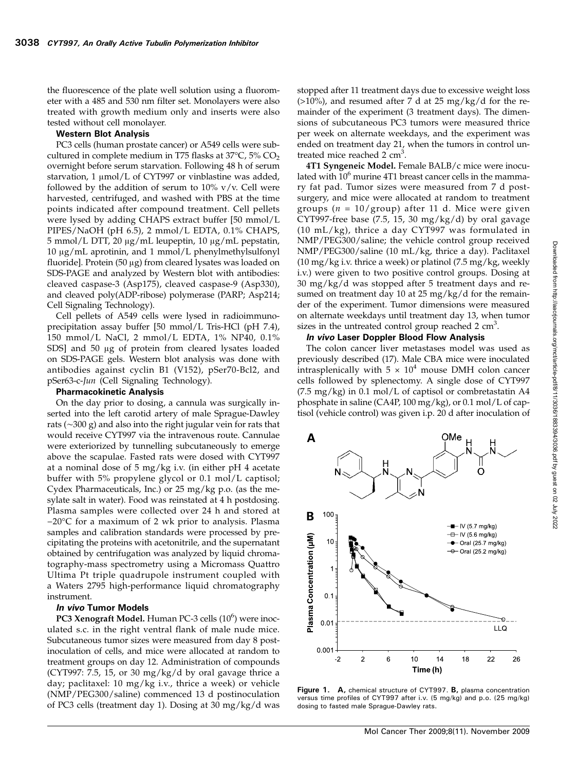the fluorescence of the plate well solution using a fluorometer with a 485 and 530 nm filter set. Monolayers were also treated with growth medium only and inserts were also tested without cell monolayer.

#### Western Blot Analysis

PC3 cells (human prostate cancer) or A549 cells were subcultured in complete medium in T75 flasks at  $37^{\circ}$ C, 5% CO<sub>2</sub> overnight before serum starvation. Following 48 h of serum starvation, 1 μmol/L of CYT997 or vinblastine was added, followed by the addition of serum to  $10\%$  v/v. Cell were harvested, centrifuged, and washed with PBS at the time points indicated after compound treatment. Cell pellets were lysed by adding CHAPS extract buffer [50 mmol/L PIPES/NaOH (pH 6.5), 2 mmol/L EDTA, 0.1% CHAPS, 5 mmol/L DTT, 20 μg/mL leupeptin, 10 μg/mL pepstatin, 10 μg/mL aprotinin, and 1 mmol/L phenylmethylsulfonyl fluoride]. Protein (50 μg) from cleared lysates was loaded on SDS-PAGE and analyzed by Western blot with antibodies: cleaved caspase-3 (Asp175), cleaved caspase-9 (Asp330), and cleaved poly(ADP-ribose) polymerase (PARP; Asp214; Cell Signaling Technology).

Cell pellets of A549 cells were lysed in radioimmunoprecipitation assay buffer [50 mmol/L Tris-HCl (pH 7.4), 150 mmol/L NaCl, 2 mmol/L EDTA, 1% NP40, 0.1% SDS] and 50 μg of protein from cleared lysates loaded on SDS-PAGE gels. Western blot analysis was done with antibodies against cyclin B1 (V152), pSer70-Bcl2, and pSer63-c-Jun (Cell Signaling Technology).

#### Pharmacokinetic Analysis

On the day prior to dosing, a cannula was surgically inserted into the left carotid artery of male Sprague-Dawley rats (∼300 g) and also into the right jugular vein for rats that would receive CYT997 via the intravenous route. Cannulae were exteriorized by tunnelling subcutaneously to emerge above the scapulae. Fasted rats were dosed with CYT997 at a nominal dose of 5 mg/kg i.v. (in either pH 4 acetate buffer with 5% propylene glycol or 0.1 mol/L captisol; Cydex Pharmaceuticals, Inc.) or 25 mg/kg p.o. (as the mesylate salt in water). Food was reinstated at 4 h postdosing. Plasma samples were collected over 24 h and stored at −20°C for a maximum of 2 wk prior to analysis. Plasma samples and calibration standards were processed by precipitating the proteins with acetonitrile, and the supernatant obtained by centrifugation was analyzed by liquid chromatography-mass spectrometry using a Micromass Quattro Ultima Pt triple quadrupole instrument coupled with a Waters 2795 high-performance liquid chromatography instrument.

### In vivo Tumor Models

PC3 Xenograft Model. Human PC-3 cells (10<sup>6</sup>) were inoculated s.c. in the right ventral flank of male nude mice. Subcutaneous tumor sizes were measured from day 8 postinoculation of cells, and mice were allocated at random to treatment groups on day 12. Administration of compounds (CYT997: 7.5, 15, or 30 mg/kg/d by oral gavage thrice a day; paclitaxel: 10 mg/kg i.v., thrice a week) or vehicle (NMP/PEG300/saline) commenced 13 d postinoculation of PC3 cells (treatment day 1). Dosing at 30 mg/kg/d was stopped after 11 treatment days due to excessive weight loss  $(>10\%)$ , and resumed after 7 d at 25 mg/kg/d for the remainder of the experiment (3 treatment days). The dimensions of subcutaneous PC3 tumors were measured thrice per week on alternate weekdays, and the experiment was ended on treatment day 21, when the tumors in control untreated mice reached  $2 \text{ cm}^3$ .

4T1 Syngeneic Model. Female BALB/c mice were inoculated with  $10<sup>6</sup>$  murine 4T1 breast cancer cells in the mammary fat pad. Tumor sizes were measured from 7 d post‐ surgery, and mice were allocated at random to treatment groups ( $n = 10/\text{group}$ ) after 11 d. Mice were given CYT997-free base  $(7.5, 15, 30 \text{ mg/kg/d})$  by oral gavage (10 mL/kg), thrice a day CYT997 was formulated in NMP/PEG300/saline; the vehicle control group received NMP/PEG300/saline (10 mL/kg, thrice a day). Paclitaxel (10 mg/kg i.v. thrice a week) or platinol (7.5 mg/kg, weekly i.v.) were given to two positive control groups. Dosing at 30 mg/kg/d was stopped after 5 treatment days and resumed on treatment day 10 at 25 mg/kg/d for the remainder of the experiment. Tumor dimensions were measured on alternate weekdays until treatment day 13, when tumor sizes in the untreated control group reached  $2 \text{ cm}^3$ .

### In vivo Laser Doppler Blood Flow Analysis

The colon cancer liver metastases model was used as previously described (17). Male CBA mice were inoculated intrasplenically with  $5 \times 10^4$  mouse DMH colon cancer cells followed by splenectomy. A single dose of CYT997 (7.5 mg/kg) in 0.1 mol/L of captisol or combretastatin A4 phosphate in saline (CA4P, 100 mg/kg), or 0.1 mol/L of captisol (vehicle control) was given i.p. 20 d after inoculation of



Figure 1. A, chemical structure of CYT997. B, plasma concentration versus time profiles of CYT997 after i.v. (5 mg/kg) and p.o. (25 mg/kg) dosing to fasted male Sprague-Dawley rats.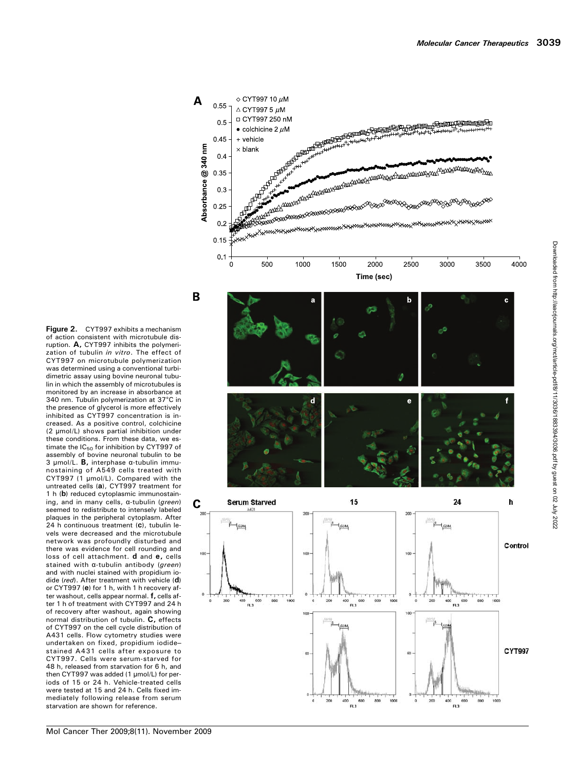

 $\diamond$  CYT997 10  $\mu$ M

A

Figure 2. CYT997 exhibits a mechanism of action consistent with microtubule disruption. A, CYT997 inhibits the polymerization of tubulin in vitro. The effect of CYT997 on microtubule polymerization was determined using a conventional turbidimetric assay using bovine neuronal tubulin in which the assembly of microtubules is monitored by an increase in absorbance at 340 nm. Tubulin polymerization at 37°C in the presence of glycerol is more effectively inhibited as CYT997 concentration is increased. As a positive control, colchicine (2 μmol/L) shows partial inhibition under these conditions. From these data, we estimate the  $IC_{50}$  for inhibition by CYT997 of assembly of bovine neuronal tubulin to be 3 μmol/L. B, interphase α-tubulin immunostaining of A549 cells treated with CYT997 (1 µmol/L). Compared with the untreated cells (a), CYT997 treatment for 1 h (b) reduced cytoplasmic immunostaining, and in many cells, α-tubulin (green) seemed to redistribute to intensely labeled plaques in the peripheral cytoplasm. After 24 h continuous treatment (c), tubulin levels were decreased and the microtubule network was profoundly disturbed and there was evidence for cell rounding and loss of cell attachment. **d** and **e**, cells stained with α-tubulin antibody (green) and with nuclei stained with propidium iodide (red). After treatment with vehicle (d) or CYT997 (e) for 1 h, with 1 h recovery after washout, cells appear normal. f, cells after 1 h of treatment with CYT997 and 24 h of recovery after washout, again showing normal distribution of tubulin. C, effects of CYT997 on the cell cycle distribution of A431 cells. Flow cytometry studies were undertaken on fixed, propidium iodide – stained A431 cells after exposure to CYT997. Cells were serum-starved for 48 h, released from starvation for 6 h, and then CYT997 was added (1 μmol/L) for periods of 15 or 24 h. Vehicle-treated cells were tested at 15 and 24 h. Cells fixed immediately following release from serum starvation are shown for reference.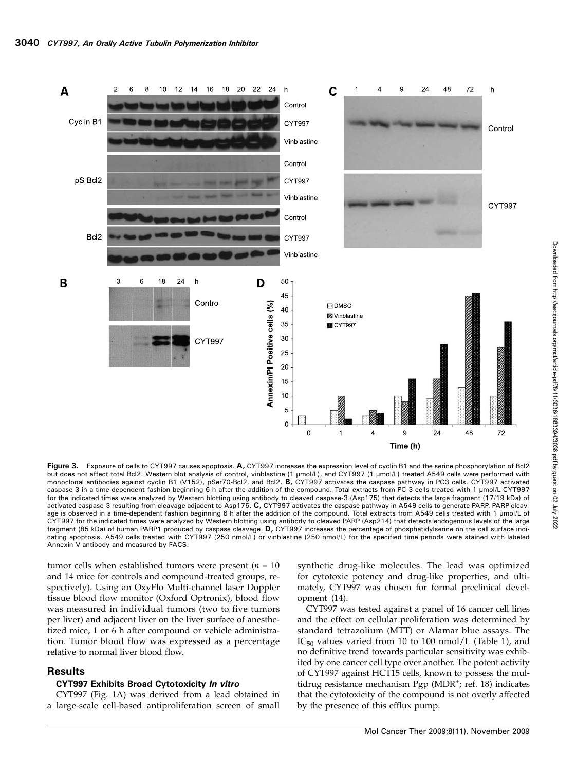

Figure 3. Exposure of cells to CYT997 causes apoptosis. A, CYT997 increases the expression level of cyclin B1 and the serine phosphorylation of Bcl2 but does not affect total Bcl2. Western blot analysis of control, vinblastine (1 μmol/L), and CYT997 (1 μmol/L) treated A549 cells were performed with monoclonal antibodies against cyclin B1 (V152), pSer70-Bcl2, and Bcl2. B, CYT997 activates the caspase pathway in PC3 cells. CYT997 activated caspase-3 in a time-dependent fashion beginning 6 h after the addition of the compound. Total extracts from PC-3 cells treated with 1 μmol/L CYT997 for the indicated times were analyzed by Western blotting using antibody to cleaved caspase-3 (Asp175) that detects the large fragment (17/19 kDa) of activated caspase-3 resulting from cleavage adjacent to Asp175. C, CYT997 activates the caspase pathway in A549 cells to generate PARP. PARP cleavage is observed in a time-dependent fashion beginning 6 h after the addition of the compound. Total extracts from A549 cells treated with 1 μmol/L of CYT997 for the indicated times were analyzed by Western blotting using antibody to cleaved PARP (Asp214) that detects endogenous levels of the large fragment (85 kDa) of human PARP1 produced by caspase cleavage. D, CYT997 increases the percentage of phosphatidylserine on the cell surface indicating apoptosis. A549 cells treated with CYT997 (250 nmol/L) or vinblastine (250 nmol/L) for the specified time periods were stained with labeled Annexin V antibody and measured by FACS.

tumor cells when established tumors were present ( $n = 10$ ) and 14 mice for controls and compound-treated groups, respectively). Using an OxyFlo Multi-channel laser Doppler tissue blood flow monitor (Oxford Optronix), blood flow was measured in individual tumors (two to five tumors per liver) and adjacent liver on the liver surface of anesthetized mice, 1 or 6 h after compound or vehicle administration. Tumor blood flow was expressed as a percentage relative to normal liver blood flow.

# **Results**

#### CYT997 Exhibits Broad Cytotoxicity In vitro

CYT997 (Fig. 1A) was derived from a lead obtained in a large-scale cell-based antiproliferation screen of small synthetic drug-like molecules. The lead was optimized for cytotoxic potency and drug-like properties, and ultimately, CYT997 was chosen for formal preclinical development (14).

CYT997 was tested against a panel of 16 cancer cell lines and the effect on cellular proliferation was determined by standard tetrazolium (MTT) or Alamar blue assays. The  $IC_{50}$  values varied from 10 to 100 nmol/L (Table 1), and no definitive trend towards particular sensitivity was exhibited by one cancer cell type over another. The potent activity of CYT997 against HCT15 cells, known to possess the multidrug resistance mechanism Pgp (MDR<sup>+</sup>; ref. 18) indicates that the cytotoxicity of the compound is not overly affected by the presence of this efflux pump.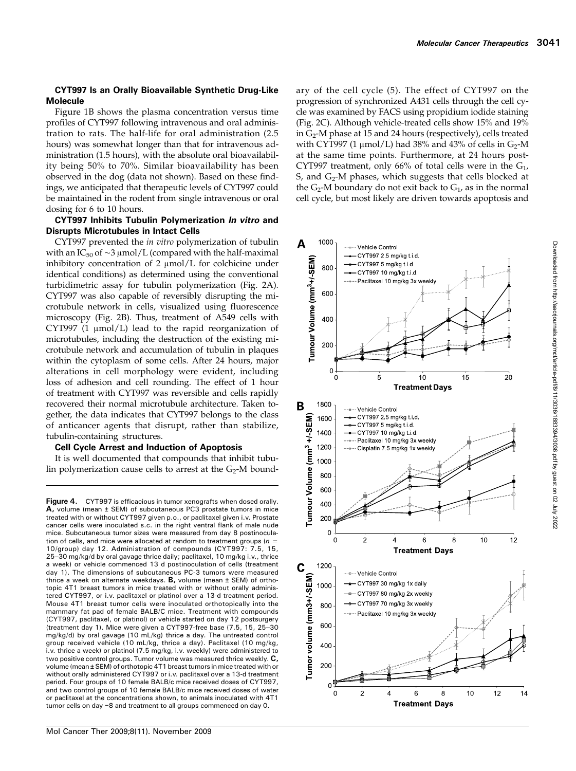#### CYT997 Is an Orally Bioavailable Synthetic Drug-Like Molecule

Figure 1B shows the plasma concentration versus time profiles of CYT997 following intravenous and oral administration to rats. The half-life for oral administration (2.5 hours) was somewhat longer than that for intravenous administration (1.5 hours), with the absolute oral bioavailability being 50% to 70%. Similar bioavailability has been observed in the dog (data not shown). Based on these findings, we anticipated that therapeutic levels of CYT997 could be maintained in the rodent from single intravenous or oral dosing for 6 to 10 hours.

#### CYT997 Inhibits Tubulin Polymerization In vitro and Disrupts Microtubules in Intact Cells

CYT997 prevented the in vitro polymerization of tubulin with an IC<sub>50</sub> of ~3 μmol/L (compared with the half-maximal inhibitory concentration of 2 μmol/L for colchicine under identical conditions) as determined using the conventional turbidimetric assay for tubulin polymerization (Fig. 2A). CYT997 was also capable of reversibly disrupting the microtubule network in cells, visualized using fluorescence microscopy (Fig. 2B). Thus, treatment of A549 cells with CYT997 (1 μmol/L) lead to the rapid reorganization of microtubules, including the destruction of the existing microtubule network and accumulation of tubulin in plaques within the cytoplasm of some cells. After 24 hours, major alterations in cell morphology were evident, including loss of adhesion and cell rounding. The effect of 1 hour of treatment with CYT997 was reversible and cells rapidly recovered their normal microtubule architecture. Taken together, the data indicates that CYT997 belongs to the class of anticancer agents that disrupt, rather than stabilize, tubulin-containing structures.

#### Cell Cycle Arrest and Induction of Apoptosis

It is well documented that compounds that inhibit tubulin polymerization cause cells to arrest at the  $G_2$ -M bound-

Figure 4. CYT997 is efficacious in tumor xenografts when dosed orally. A, volume (mean ± SEM) of subcutaneous PC3 prostate tumors in mice treated with or without CYT997 given p.o., or paclitaxel given i.v. Prostate cancer cells were inoculated s.c. in the right ventral flank of male nude mice. Subcutaneous tumor sizes were measured from day 8 postinoculation of cells, and mice were allocated at random to treatment groups ( $n =$ 10/group) day 12. Administration of compounds (CYT997: 7.5, 15, 25–30 mg/kg/d by oral gavage thrice daily; paclitaxel, 10 mg/kg i.v., thrice a week) or vehicle commenced 13 d postinoculation of cells (treatment day 1). The dimensions of subcutaneous PC-3 tumors were measured thrice a week on alternate weekdays.  $B$ , volume (mean  $\pm$  SEM) of orthotopic 4T1 breast tumors in mice treated with or without orally administered CYT997, or i.v. paclitaxel or platinol over a 13-d treatment period. Mouse 4T1 breast tumor cells were inoculated orthotopically into the mammary fat pad of female BALB/C mice. Treatment with compounds (CYT997, paclitaxel, or platinol) or vehicle started on day 12 postsurgery (treatment day 1). Mice were given a CYT997-free base (7.5, 15, 25–30 mg/kg/d) by oral gavage (10 mL/kg) thrice a day. The untreated control group received vehicle (10 mL/kg, thrice a day). Paclitaxel (10 mg/kg, i.v. thrice a week) or platinol (7.5 mg/kg, i.v. weekly) were administered to two positive control groups. Tumor volume was measured thrice weekly. C, volume (mean ± SEM) of orthotopic 4T1 breast tumors in mice treated with or without orally administered CYT997 or i.v. paclitaxel over a 13-d treatment period. Four groups of 10 female BALB/c mice received doses of CYT997, and two control groups of 10 female BALB/c mice received doses of water or paclitaxel at the concentrations shown, to animals inoculated with 4T1 tumor cells on day −8 and treatment to all groups commenced on day 0.

ary of the cell cycle (5). The effect of CYT997 on the progression of synchronized A431 cells through the cell cycle was examined by FACS using propidium iodide staining (Fig. 2C). Although vehicle-treated cells show15% and 19% in G<sub>2</sub>-M phase at 15 and 24 hours (respectively), cells treated with CYT997 (1  $\mu$ mol/L) had 38% and 43% of cells in G<sub>2</sub>-M at the same time points. Furthermore, at 24 hours post-CYT997 treatment, only 66% of total cells were in the  $G_1$ , S, and  $G_2$ -M phases, which suggests that cells blocked at the  $G_2$ -M boundary do not exit back to  $G_1$ , as in the normal cell cycle, but most likely are driven towards apoptosis and

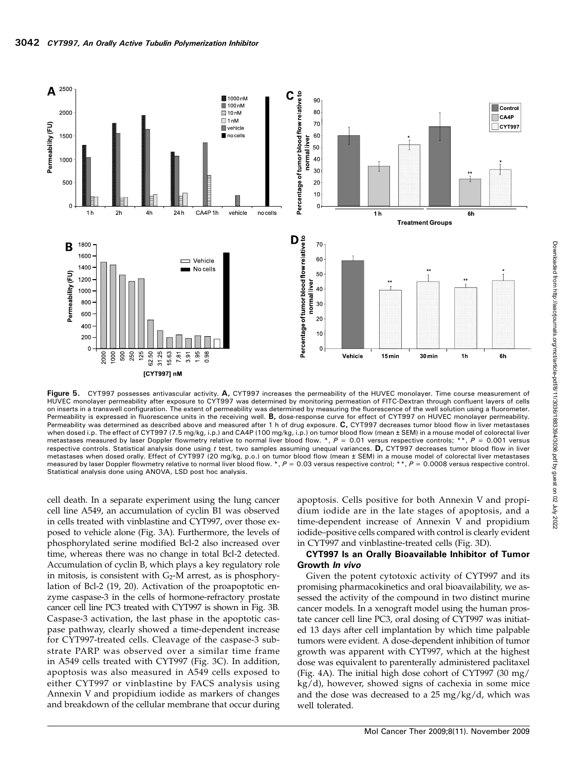

Figure 5. CYT997 possesses antivascular activity. A, CYT997 increases the permeability of the HUVEC monolayer. Time course measurement of HUVEC monolayer permeability after exposure to CYT997 was determined by monitoring permeation of FITC-Dextran through confluent layers of cells on inserts in a transwell configuration. The extent of permeability was determined by measuring the fluorescence of the well solution using a fluorometer. Permeability is expressed in fluorescence units in the receiving well. B, dose-response curve for effect of CYT997 on HUVEC monolayer permeability. Permeability was determined as described above and measured after 1 h of drug exposure. C, CYT997 decreases tumor blood flow in liver metastases when dosed i.p. The effect of CYT997 (7.5 mg/kg, i.p.) and CA4P (100 mg/kg, i.p.) on tumor blood flow (mean ± SEM) in a mouse model of colorectal liver metastases measured by laser Doppler flowmetry relative to normal liver blood flow. \*,  $P = 0.01$  versus respective controls; \*\*,  $P = 0.001$  versus respective controls. Statistical analysis done using  $t$  test, two samples assuming unequal variances. D, CYT997 decreases tumor blood flow in liver metastases when dosed orally. Effect of CYT997 (20 mg/kg, p.o.) on tumor blood flow (mean ± SEM) in a mouse model of colorectal liver metastases measured by laser Doppler flowmetry relative to normal liver blood flow. \*,  $P = 0.03$  versus respective control; \*\*,  $P = 0.0008$  versus respective control. Statistical analysis done using ANOVA, LSD post hoc analysis.

cell death. In a separate experiment using the lung cancer cell line A549, an accumulation of cyclin B1 was observed in cells treated with vinblastine and CYT997, over those exposed to vehicle alone (Fig. 3A). Furthermore, the levels of phosphorylated serine modified Bcl-2 also increased over time, whereas there was no change in total Bcl-2 detected. Accumulation of cyclin B, which plays a key regulatory role in mitosis, is consistent with  $G_2$ -M arrest, as is phosphorylation of Bcl-2 (19, 20). Activation of the proapoptotic enzyme caspase-3 in the cells of hormone-refractory prostate cancer cell line PC3 treated with CYT997 is shown in Fig. 3B. Caspase-3 activation, the last phase in the apoptotic caspase pathway, clearly showed a time-dependent increase for CYT997-treated cells. Cleavage of the caspase-3 substrate PARP was observed over a similar time frame in A549 cells treated with CYT997 (Fig. 3C). In addition, apoptosis was also measured in A549 cells exposed to either CYT997 or vinblastine by FACS analysis using Annexin V and propidium iodide as markers of changes and breakdown of the cellular membrane that occur during apoptosis. Cells positive for both Annexin V and propidium iodide are in the late stages of apoptosis, and a time-dependent increase of Annexin V and propidium iodide–positive cells compared with control is clearly evident in CYT997 and vinblastine-treated cells (Fig. 3D).

#### CYT997 Is an Orally Bioavailable Inhibitor of Tumor Growth In vivo

Given the potent cytotoxic activity of CYT997 and its promising pharmacokinetics and oral bioavailability, we assessed the activity of the compound in two distinct murine cancer models. In a xenograft model using the human prostate cancer cell line PC3, oral dosing of CYT997 was initiated 13 days after cell implantation by which time palpable tumors were evident. A dose-dependent inhibition of tumor growth was apparent with CYT997, which at the highest dose was equivalent to parenterally administered paclitaxel (Fig. 4A). The initial high dose cohort of CYT997 (30 mg/ kg/d), however, showed signs of cachexia in some mice and the dose was decreased to a 25 mg/kg/d, which was well tolerated.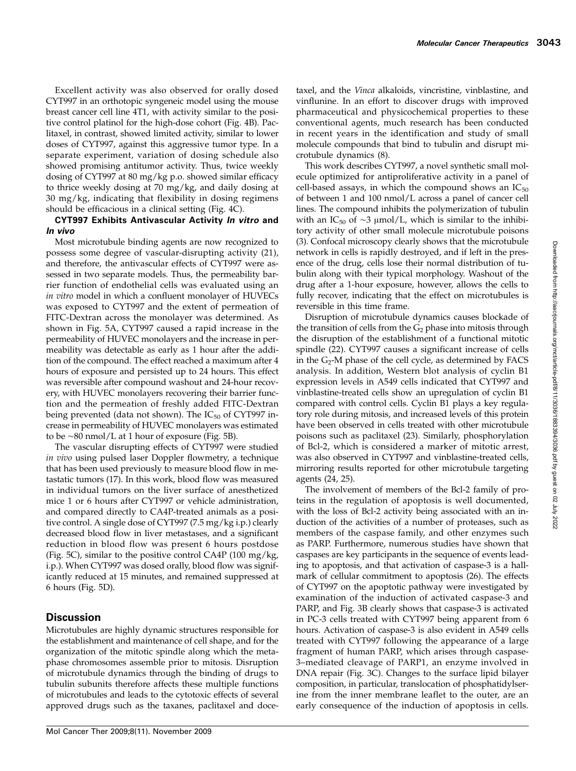Excellent activity was also observed for orally dosed CYT997 in an orthotopic syngeneic model using the mouse breast cancer cell line 4T1, with activity similar to the positive control platinol for the high-dose cohort (Fig. 4B). Paclitaxel, in contrast, showed limited activity, similar to lower doses of CYT997, against this aggressive tumor type. In a separate experiment, variation of dosing schedule also showed promising antitumor activity. Thus, twice weekly dosing of CYT997 at 80 mg/kg p.o. showed similar efficacy to thrice weekly dosing at 70 mg/kg, and daily dosing at 30 mg/kg, indicating that flexibility in dosing regimens should be efficacious in a clinical setting (Fig. 4C).

# CYT997 Exhibits Antivascular Activity In vitro and In vivo

Most microtubule binding agents are now recognized to possess some degree of vascular-disrupting activity (21), and therefore, the antivascular effects of CYT997 were assessed in two separate models. Thus, the permeability barrier function of endothelial cells was evaluated using an in vitro model in which a confluent monolayer of HUVECs was exposed to CYT997 and the extent of permeation of FITC-Dextran across the monolayer was determined. As shown in Fig. 5A, CYT997 caused a rapid increase in the permeability of HUVEC monolayers and the increase in permeability was detectable as early as 1 hour after the addition of the compound. The effect reached a maximum after 4 hours of exposure and persisted up to 24 hours. This effect was reversible after compound washout and 24-hour recovery, with HUVEC monolayers recovering their barrier function and the permeation of freshly added FITC-Dextran being prevented (data not shown). The  $IC_{50}$  of CYT997 increase in permeability of HUVEC monolayers was estimated to be ∼80 nmol/L at 1 hour of exposure (Fig. 5B).

The vascular disrupting effects of CYT997 were studied in vivo using pulsed laser Doppler flowmetry, a technique that has been used previously to measure blood flow in metastatic tumors (17). In this work, blood flow was measured in individual tumors on the liver surface of anesthetized mice 1 or 6 hours after CYT997 or vehicle administration, and compared directly to CA4P-treated animals as a positive control. A single dose of CYT997 (7.5 mg/kg i.p.) clearly decreased blood flow in liver metastases, and a significant reduction in blood flow was present 6 hours postdose (Fig. 5C), similar to the positive control CA4P (100 mg/kg, i.p.). When CYT997 was dosed orally, blood flow was significantly reduced at 15 minutes, and remained suppressed at 6 hours (Fig. 5D).

# **Discussion**

Microtubules are highly dynamic structures responsible for the establishment and maintenance of cell shape, and for the organization of the mitotic spindle along which the metaphase chromosomes assemble prior to mitosis. Disruption of microtubule dynamics through the binding of drugs to tubulin subunits therefore affects these multiple functions of microtubules and leads to the cytotoxic effects of several approved drugs such as the taxanes, paclitaxel and docetaxel, and the Vinca alkaloids, vincristine, vinblastine, and vinflunine. In an effort to discover drugs with improved pharmaceutical and physicochemical properties to these conventional agents, much research has been conducted in recent years in the identification and study of small molecule compounds that bind to tubulin and disrupt microtubule dynamics (8).

This work describes CYT997, a novel synthetic small molecule optimized for antiproliferative activity in a panel of cell-based assays, in which the compound shows an  $IC_{50}$ of between 1 and 100 nmol/L across a panel of cancer cell lines. The compound inhibits the polymerization of tubulin with an IC<sub>50</sub> of ∼3 μmol/L, which is similar to the inhibitory activity of other small molecule microtubule poisons (3). Confocal microscopy clearly shows that the microtubule network in cells is rapidly destroyed, and if left in the presence of the drug, cells lose their normal distribution of tubulin along with their typical morphology. Washout of the drug after a 1-hour exposure, however, allows the cells to fully recover, indicating that the effect on microtubules is reversible in this time frame.

Disruption of microtubule dynamics causes blockade of the transition of cells from the  $G_2$  phase into mitosis through the disruption of the establishment of a functional mitotic spindle (22). CYT997 causes a significant increase of cells in the G<sub>2</sub>-M phase of the cell cycle, as determined by FACS analysis. In addition, Western blot analysis of cyclin B1 expression levels in A549 cells indicated that CYT997 and vinblastine-treated cells showan upregulation of cyclin B1 compared with control cells. Cyclin B1 plays a key regulatory role during mitosis, and increased levels of this protein have been observed in cells treated with other microtubule poisons such as paclitaxel (23). Similarly, phosphorylation of Bcl-2, which is considered a marker of mitotic arrest, was also observed in CYT997 and vinblastine-treated cells, mirroring results reported for other microtubule targeting agents (24, 25).

The involvement of members of the Bcl-2 family of proteins in the regulation of apoptosis is well documented, with the loss of Bcl-2 activity being associated with an induction of the activities of a number of proteases, such as members of the caspase family, and other enzymes such as PARP. Furthermore, numerous studies have shown that caspases are key participants in the sequence of events leading to apoptosis, and that activation of caspase-3 is a hallmark of cellular commitment to apoptosis (26). The effects of CYT997 on the apoptotic pathway were investigated by examination of the induction of activated caspase-3 and PARP, and Fig. 3B clearly shows that caspase-3 is activated in PC-3 cells treated with CYT997 being apparent from 6 hours. Activation of caspase-3 is also evident in A549 cells treated with CYT997 following the appearance of a large fragment of human PARP, which arises through caspase-3–mediated cleavage of PARP1, an enzyme involved in DNA repair (Fig. 3C). Changes to the surface lipid bilayer composition, in particular, translocation of phosphatidylserine from the inner membrane leaflet to the outer, are an early consequence of the induction of apoptosis in cells.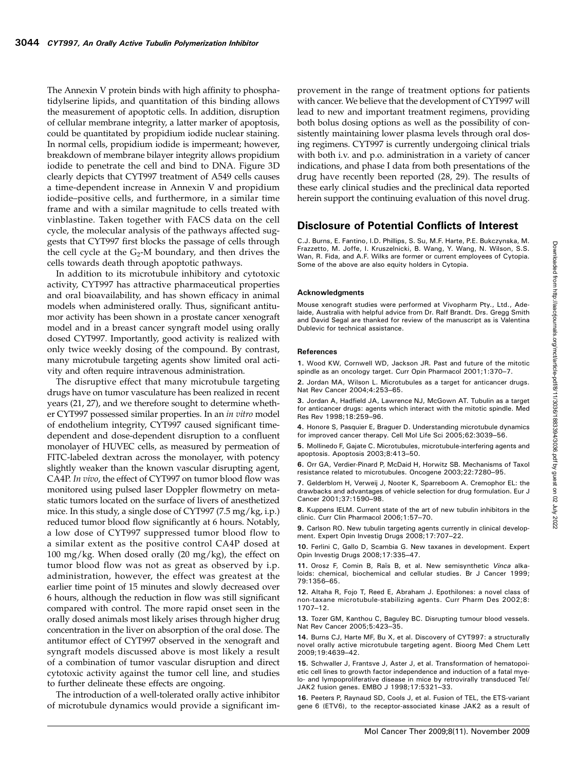The Annexin V protein binds with high affinity to phosphatidylserine lipids, and quantitation of this binding allows the measurement of apoptotic cells. In addition, disruption of cellular membrane integrity, a latter marker of apoptosis, could be quantitated by propidium iodide nuclear staining. In normal cells, propidium iodide is impermeant; however, breakdown of membrane bilayer integrity allows propidium iodide to penetrate the cell and bind to DNA. Figure 3D clearly depicts that CYT997 treatment of A549 cells causes a time-dependent increase in Annexin V and propidium iodide–positive cells, and furthermore, in a similar time frame and with a similar magnitude to cells treated with vinblastine. Taken together with FACS data on the cell cycle, the molecular analysis of the pathways affected suggests that CYT997 first blocks the passage of cells through the cell cycle at the  $G_2$ -M boundary, and then drives the cells towards death through apoptotic pathways.

In addition to its microtubule inhibitory and cytotoxic activity, CYT997 has attractive pharmaceutical properties and oral bioavailability, and has shown efficacy in animal models when administered orally. Thus, significant antitumor activity has been shown in a prostate cancer xenograft model and in a breast cancer syngraft model using orally dosed CYT997. Importantly, good activity is realized with only twice weekly dosing of the compound. By contrast, many microtubule targeting agents show limited oral activity and often require intravenous administration.

The disruptive effect that many microtubule targeting drugs have on tumor vasculature has been realized in recent years (21, 27), and we therefore sought to determine whether CYT997 possessed similar properties. In an in vitro model of endothelium integrity, CYT997 caused significant timedependent and dose-dependent disruption to a confluent monolayer of HUVEC cells, as measured by permeation of FITC-labeled dextran across the monolayer, with potency slightly weaker than the known vascular disrupting agent, CA4P. In vivo, the effect of CYT997 on tumor blood flow was monitored using pulsed laser Doppler flowmetry on metastatic tumors located on the surface of livers of anesthetized mice. In this study, a single dose of CYT997 (7.5 mg/kg, i.p.) reduced tumor blood flow significantly at 6 hours. Notably, a low dose of CYT997 suppressed tumor blood flow to a similar extent as the positive control CA4P dosed at 100 mg/kg. When dosed orally  $(20 \text{ mg/kg})$ , the effect on tumor blood flow was not as great as observed by i.p. administration, however, the effect was greatest at the earlier time point of 15 minutes and slowly decreased over 6 hours, although the reduction in flowwas still significant compared with control. The more rapid onset seen in the orally dosed animals most likely arises through higher drug concentration in the liver on absorption of the oral dose. The antitumor effect of CYT997 observed in the xenograft and syngraft models discussed above is most likely a result of a combination of tumor vascular disruption and direct cytotoxic activity against the tumor cell line, and studies to further delineate these effects are ongoing.

The introduction of a well-tolerated orally active inhibitor of microtubule dynamics would provide a significant improvement in the range of treatment options for patients with cancer. We believe that the development of CYT997 will lead to new and important treatment regimens, providing both bolus dosing options as well as the possibility of consistently maintaining lower plasma levels through oral dosing regimens. CYT997 is currently undergoing clinical trials with both i.v. and p.o. administration in a variety of cancer indications, and phase I data from both presentations of the drug have recently been reported (28, 29). The results of these early clinical studies and the preclinical data reported herein support the continuing evaluation of this novel drug.

# Disclosure of Potential Conflicts of Interest

C.J. Burns, E. Fantino, I.D. Phillips, S. Su, M.F. Harte, P.E. Bukczynska, M. Frazzetto, M. Joffe, I. Kruszelnicki, B. Wang, Y. Wang, N. Wilson, S.S. Wan, R. Fida, and A.F. Wilks are former or current employees of Cytopia. Some of the above are also equity holders in Cytopia.

#### Acknowledgments

Mouse xenograft studies were performed at Vivopharm Pty., Ltd., Adelaide, Australia with helpful advice from Dr. Ralf Brandt. Drs. Gregg Smith and David Segal are thanked for review of the manuscript as is Valentina Dublevic for technical assistance.

#### References

1. Wood KW, Cornwell WD, Jackson JR. Past and future of the mitotic spindle as an oncology target. Curr Opin Pharmacol 2001;1:370–7.

2. Jordan MA, Wilson L. Microtubules as a target for anticancer drugs. Nat Rev Cancer 2004;4:253–65.

3. Jordan A, Hadfield JA, Lawrence NJ, McGown AT. Tubulin as a target for anticancer drugs: agents which interact with the mitotic spindle. Med Res Rev 1998;18:259–96.

4. Honore S, Pasquier E, Braguer D. Understanding microtubule dynamics for improved cancer therapy. Cell Mol Life Sci 2005;62:3039–56.

5. Mollinedo F, Gajate C. Microtubules, microtubule-interfering agents and apoptosis. Apoptosis 2003;8:413–50.

6. Orr GA, Verdier-Pinard P, McDaid H, Horwitz SB. Mechanisms of Taxol resistance related to microtubules. Oncogene 2003;22:7280–95.

7. Gelderblom H, Verweij J, Nooter K, Sparreboom A. Cremophor EL: the drawbacks and advantages of vehicle selection for drug formulation. Eur J Cancer 2001;37:1590–98.

8. Kuppens IELM. Current state of the art of new tubulin inhibitors in the clinic. Curr Clin Pharmacol 2006;1:57–70.

9. Carlson RO. New tubulin targeting agents currently in clinical development. Expert Opin Investig Drugs 2008;17:707–22.

10. Ferlini C, Gallo D, Scambia G. New taxanes in development. Expert Opin Investig Drugs 2008;17:335–47.

11. Orosz F, Comin B, Raïs B, et al. New semisynthetic Vinca alkaloids: chemical, biochemical and cellular studies. Br J Cancer 1999; 79:1356–65.

12. Altaha R, Fojo T, Reed E, Abraham J. Epothilones: a novel class of non-taxane microtubule-stabilizing agents. Curr Pharm Des 2002;8: 1707–12.

13. Tozer GM, Kanthou C, Baguley BC. Disrupting tumour blood vessels. Nat Rev Cancer 2005;5:423–35.

14. Burns CJ, Harte MF, Bu X, et al. Discovery of CYT997: a structurally novel orally active microtubule targeting agent. Bioorg Med Chem Lett 2009;19:4639–42.

15. Schwaller J, Frantsve J, Aster J, et al. Transformation of hematopoietic cell lines to growth factor independence and induction of a fatal myelo- and lympoproliferative disease in mice by retrovirally transduced Tel/ JAK2 fusion genes. EMBO J 1998;17:5321–33.

16. Peeters P, Raynaud SD, Cools J, et al. Fusion of TEL, the ETS-variant gene 6 (ETV6), to the receptor-associated kinase JAK2 as a result of